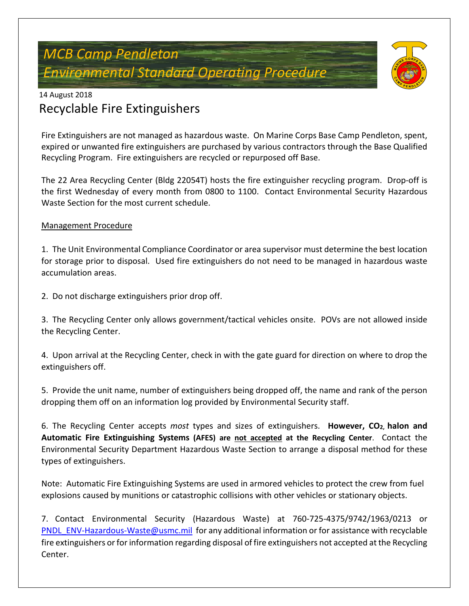# *MCB Camp Pendleton Environmental Standard Operating Procedure*



### 14 August 2018 Recyclable Fire Extinguishers

Fire Extinguishers are not managed as hazardous waste. On Marine Corps Base Camp Pendleton, spent, expired or unwanted fire extinguishers are purchased by various contractors through the Base Qualified Recycling Program. Fire extinguishers are recycled or repurposed off Base.

The 22 Area Recycling Center (Bldg 22054T) hosts the fire extinguisher recycling program. Drop-off is the first Wednesday of every month from 0800 to 1100. Contact Environmental Security Hazardous Waste Section for the most current schedule.

#### Management Procedure

1. The Unit Environmental Compliance Coordinator or area supervisor must determine the best location for storage prior to disposal. Used fire extinguishers do not need to be managed in hazardous waste accumulation areas.

2. Do not discharge extinguishers prior drop off.

3. The Recycling Center only allows government/tactical vehicles onsite. POVs are not allowed inside the Recycling Center.

4. Upon arrival at the Recycling Center, check in with the gate guard for direction on where to drop the extinguishers off.

5. Provide the unit name, number of extinguishers being dropped off, the name and rank of the person dropping them off on an information log provided by Environmental Security staff.

6. The Recycling Center accepts *most* types and sizes of extinguishers. **However, CO2, halon and Automatic Fire Extinguishing Systems (AFES) are not accepted at the Recycling Center**. Contact the Environmental Security Department Hazardous Waste Section to arrange a disposal method for these types of extinguishers.

Note: Automatic Fire Extinguishing Systems are used in armored vehicles to protect the crew from fuel explosions caused by munitions or catastrophic collisions with other vehicles or stationary objects.

7. Contact Environmental Security (Hazardous Waste) at 760-725-4375/9742/1963/0213 or [PNDL\\_ENV-Hazardous-Waste@usmc.mil](mailto:PNDL_ENV-Hazardous-Waste@usmc.mil) for any additional information or for assistance with recyclable fire extinguishers or for information regarding disposal of fire extinguishers not accepted at the Recycling Center.